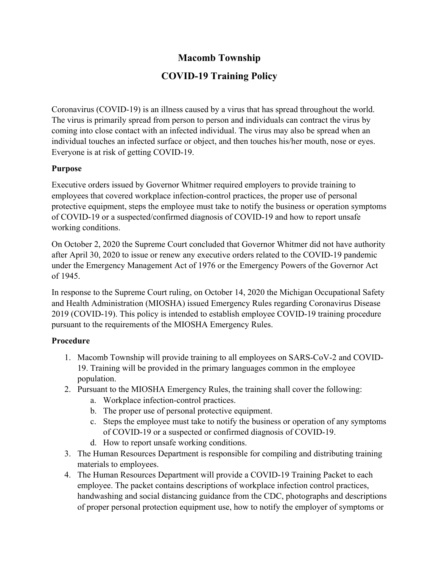## **Macomb Township**

# **COVID-19 Training Policy**

Coronavirus (COVID-19) is an illness caused by a virus that has spread throughout the world. The virus is primarily spread from person to person and individuals can contract the virus by coming into close contact with an infected individual. The virus may also be spread when an individual touches an infected surface or object, and then touches his/her mouth, nose or eyes. Everyone is at risk of getting COVID-19.

### **Purpose**

Executive orders issued by Governor Whitmer required employers to provide training to employees that covered workplace infection-control practices, the proper use of personal protective equipment, steps the employee must take to notify the business or operation symptoms of COVID-19 or a suspected/confirmed diagnosis of COVID-19 and how to report unsafe working conditions.

On October 2, 2020 the Supreme Court concluded that Governor Whitmer did not have authority after April 30, 2020 to issue or renew any executive orders related to the COVID-19 pandemic under the Emergency Management Act of 1976 or the Emergency Powers of the Governor Act of 1945.

In response to the Supreme Court ruling, on October 14, 2020 the Michigan Occupational Safety and Health Administration (MIOSHA) issued Emergency Rules regarding Coronavirus Disease 2019 (COVID-19). This policy is intended to establish employee COVID-19 training procedure pursuant to the requirements of the MIOSHA Emergency Rules.

### **Procedure**

- 1. Macomb Township will provide training to all employees on SARS-CoV-2 and COVID-19. Training will be provided in the primary languages common in the employee population.
- 2. Pursuant to the MIOSHA Emergency Rules, the training shall cover the following:
	- a. Workplace infection-control practices.
	- b. The proper use of personal protective equipment.
	- c. Steps the employee must take to notify the business or operation of any symptoms of COVID-19 or a suspected or confirmed diagnosis of COVID-19.
	- d. How to report unsafe working conditions.
- 3. The Human Resources Department is responsible for compiling and distributing training materials to employees.
- 4. The Human Resources Department will provide a COVID-19 Training Packet to each employee. The packet contains descriptions of workplace infection control practices, handwashing and social distancing guidance from the CDC, photographs and descriptions of proper personal protection equipment use, how to notify the employer of symptoms or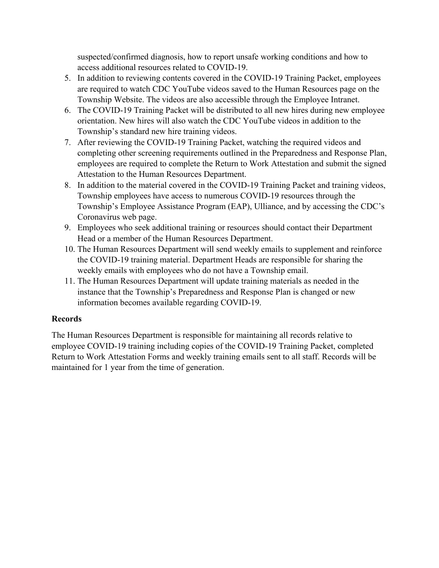suspected/confirmed diagnosis, how to report unsafe working conditions and how to access additional resources related to COVID-19.

- 5. In addition to reviewing contents covered in the COVID-19 Training Packet, employees are required to watch CDC YouTube videos saved to the Human Resources page on the Township Website. The videos are also accessible through the Employee Intranet.
- 6. The COVID-19 Training Packet will be distributed to all new hires during new employee orientation. New hires will also watch the CDC YouTube videos in addition to the Township's standard new hire training videos.
- 7. After reviewing the COVID-19 Training Packet, watching the required videos and completing other screening requirements outlined in the Preparedness and Response Plan, employees are required to complete the Return to Work Attestation and submit the signed Attestation to the Human Resources Department.
- 8. In addition to the material covered in the COVID-19 Training Packet and training videos, Township employees have access to numerous COVID-19 resources through the Township's Employee Assistance Program (EAP), Ulliance, and by accessing the CDC's Coronavirus web page.
- 9. Employees who seek additional training or resources should contact their Department Head or a member of the Human Resources Department.
- 10. The Human Resources Department will send weekly emails to supplement and reinforce the COVID-19 training material. Department Heads are responsible for sharing the weekly emails with employees who do not have a Township email.
- 11. The Human Resources Department will update training materials as needed in the instance that the Township's Preparedness and Response Plan is changed or new information becomes available regarding COVID-19.

### **Records**

The Human Resources Department is responsible for maintaining all records relative to employee COVID-19 training including copies of the COVID-19 Training Packet, completed Return to Work Attestation Forms and weekly training emails sent to all staff. Records will be maintained for 1 year from the time of generation.